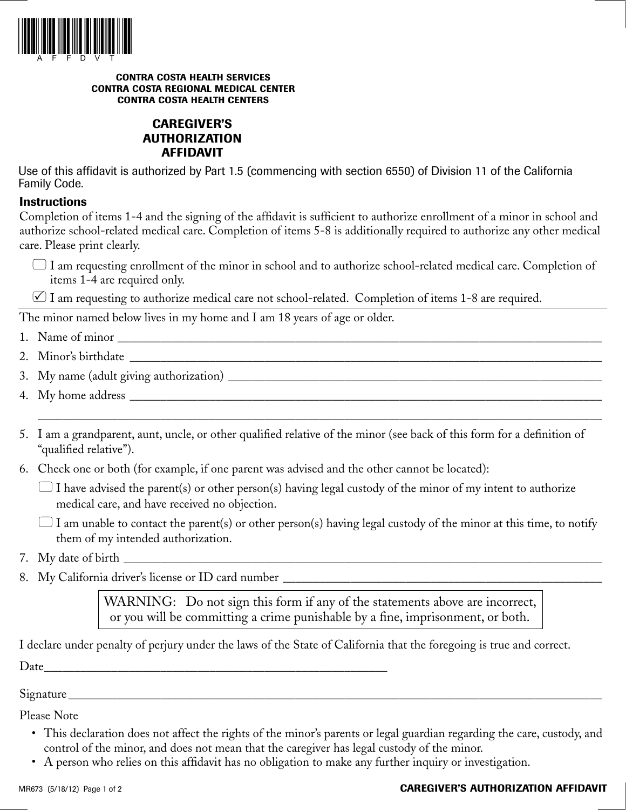

#### **CONTRA COSTA HEALTH SERVICES CONTRA COSTA REGIONAL MEDICAL CENTER CONTRA COSTA HEALTH CENTERS**

# **CAREGIVER'S AUTHORIZATION AFFIDAVIT**

Use of this affidavit is authorized by Part 1.5 (commencing with section 6550) of Division 11 of the California Family Code.

## **Instructions**

Completion of items 1-4 and the signing of the affidavit is sufficient to authorize enrollment of a minor in school and authorize school-related medical care. Completion of items 5-8 is additionally required to authorize any other medical care. Please print clearly.

 I am requesting enrollment of the minor in school and to authorize school-related medical care. Completion of items 1-4 are required only.

 $\varnothing$  I am requesting to authorize medical care not school-related. Completion of items 1-8 are required.

The minor named below lives in my home and I am 18 years of age or older.

- 1. Name of minor \_\_\_\_\_\_\_\_\_\_\_\_\_\_\_\_\_\_\_\_\_\_\_\_\_\_\_\_\_\_\_\_\_\_\_\_\_\_\_\_\_\_\_\_\_\_\_\_\_\_\_\_\_\_\_\_\_\_\_\_\_\_\_\_\_\_\_\_\_\_\_\_\_\_\_\_\_\_\_
- 2. Minor's birthdate \_\_\_\_\_\_\_\_\_\_\_\_\_\_\_\_\_\_\_\_\_\_\_\_\_\_\_\_\_\_\_\_\_\_\_\_\_\_\_\_\_\_\_\_\_\_\_\_\_\_\_\_\_\_\_\_\_\_\_\_\_\_\_\_\_\_\_\_\_\_\_\_\_\_\_\_\_
- 3. My name (adult giving authorization) \_\_\_\_\_\_\_\_\_\_\_\_\_\_\_\_\_\_\_\_\_\_\_\_\_\_\_\_\_\_\_\_\_\_\_\_\_\_\_\_\_\_\_\_\_\_\_\_\_\_\_\_\_\_\_\_\_\_\_\_\_
- 4. My home address \_\_\_\_\_\_\_\_\_\_\_\_\_\_\_\_\_\_\_\_\_\_\_\_\_\_\_\_\_\_\_\_\_\_\_\_\_\_\_\_\_\_\_\_\_\_\_\_\_\_\_\_\_\_\_\_\_\_\_\_\_\_\_\_\_\_\_\_\_\_\_\_\_\_\_\_\_
- 5. I am a grandparent, aunt, uncle, or other qualified relative of the minor (see back of this form for a definition of "qualified relative").

 $\overline{\phantom{a}}$  , and the contribution of the contribution of the contribution of the contribution of the contribution of the contribution of the contribution of the contribution of the contribution of the contribution of the

- 6. Check one or both (for example, if one parent was advised and the other cannot be located):
	- $\Box$  I have advised the parent(s) or other person(s) having legal custody of the minor of my intent to authorize medical care, and have received no objection.
	- $\Box$  I am unable to contact the parent(s) or other person(s) having legal custody of the minor at this time, to notify them of my intended authorization.
- 7. My date of birth
- 8. My California driver's license or ID card number \_\_\_\_\_\_\_\_\_\_\_\_\_\_\_\_\_\_\_\_\_\_\_\_\_\_\_\_\_\_\_\_\_\_\_\_\_\_\_\_\_\_\_\_\_\_\_\_\_\_\_\_

WARNING: Do not sign this form if any of the statements above are incorrect, or you will be committing a crime punishable by a fine, imprisonment, or both.

I declare under penalty of perjury under the laws of the State of California that the foregoing is true and correct. Date \_\_\_\_\_\_\_\_\_\_\_\_\_\_\_\_\_\_\_\_\_\_\_\_\_\_\_\_\_\_\_\_\_\_\_\_\_\_\_\_\_\_\_\_\_\_\_\_\_\_\_\_\_\_\_\_

Signature

Please Note

- This declaration does not affect the rights of the minor's parents or legal guardian regarding the care, custody, and control of the minor, and does not mean that the caregiver has legal custody of the minor.
- A person who relies on this affidavit has no obligation to make any further inquiry or investigation.